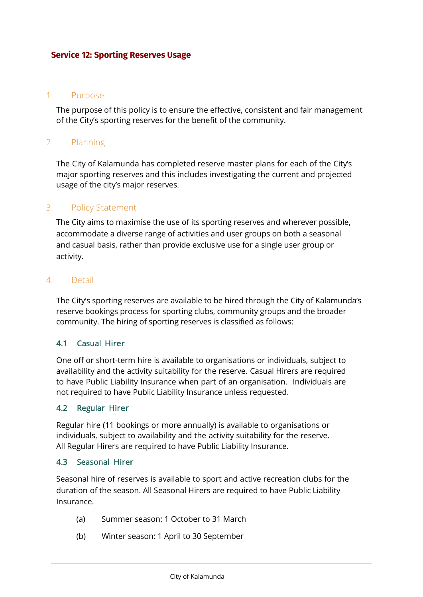# **Service 12: Sporting Reserves Usage**

### 1. Purpose

The purpose of this policy is to ensure the effective, consistent and fair management of the City's sporting reserves for the benefit of the community.

## 2. Planning

The City of Kalamunda has completed reserve master plans for each of the City's major sporting reserves and this includes investigating the current and projected usage of the city's major reserves.

### 3. Policy Statement

The City aims to maximise the use of its sporting reserves and wherever possible, accommodate a diverse range of activities and user groups on both a seasonal and casual basis, rather than provide exclusive use for a single user group or activity.

### 4. Detail

The City's sporting reserves are available to be hired through the City of Kalamunda's reserve bookings process for sporting clubs, community groups and the broader community. The hiring of sporting reserves is classified as follows:

### 4.1 Casual Hirer

One off or short-term hire is available to organisations or individuals, subject to availability and the activity suitability for the reserve. Casual Hirers are required to have Public Liability Insurance when part of an organisation. Individuals are not required to have Public Liability Insurance unless requested.

### 4.2 Regular Hirer

Regular hire (11 bookings or more annually) is available to organisations or individuals, subject to availability and the activity suitability for the reserve. All Regular Hirers are required to have Public Liability Insurance.

### 4.3 Seasonal Hirer

Seasonal hire of reserves is available to sport and active recreation clubs for the duration of the season. All Seasonal Hirers are required to have Public Liability Insurance.

- (a) Summer season: 1 October to 31 March
- (b) Winter season: 1 April to 30 September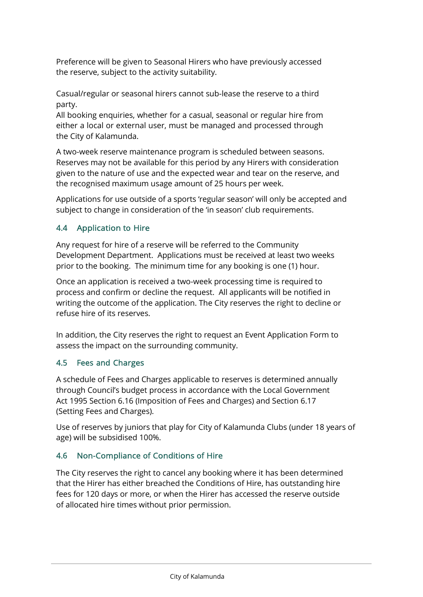Preference will be given to Seasonal Hirers who have previously accessed the reserve, subject to the activity suitability.

Casual/regular or seasonal hirers cannot sub-lease the reserve to a third party.

All booking enquiries, whether for a casual, seasonal or regular hire from either a local or external user, must be managed and processed through the City of Kalamunda.

A two-week reserve maintenance program is scheduled between seasons. Reserves may not be available for this period by any Hirers with consideration given to the nature of use and the expected wear and tear on the reserve, and the recognised maximum usage amount of 25 hours per week.

Applications for use outside of a sports 'regular season' will only be accepted and subject to change in consideration of the 'in season' club requirements.

### 4.4 Application to Hire

Any request for hire of a reserve will be referred to the Community Development Department. Applications must be received at least two weeks prior to the booking. The minimum time for any booking is one (1) hour.

Once an application is received a two-week processing time is required to process and confirm or decline the request. All applicants will be notified in writing the outcome of the application. The City reserves the right to decline or refuse hire of its reserves.

In addition, the City reserves the right to request an Event Application Form to assess the impact on the surrounding community.

### 4.5 Fees and Charges

A schedule of Fees and Charges applicable to reserves is determined annually through Council's budget process in accordance with the Local Government Act 1995 Section 6.16 (Imposition of Fees and Charges) and Section 6.17 (Setting Fees and Charges).

Use of reserves by juniors that play for City of Kalamunda Clubs (under 18 years of age) will be subsidised 100%.

### 4.6 Non-Compliance of Conditions of Hire

The City reserves the right to cancel any booking where it has been determined that the Hirer has either breached the Conditions of Hire, has outstanding hire fees for 120 days or more, or when the Hirer has accessed the reserve outside of allocated hire times without prior permission.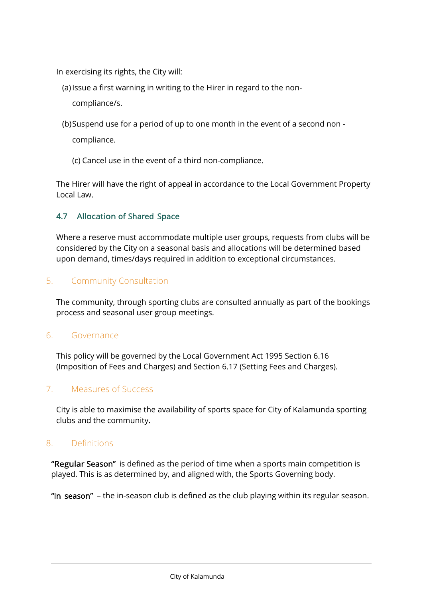In exercising its rights, the City will:

(a) Issue a first warning in writing to the Hirer in regard to the non-

compliance/s.

(b) Suspend use for a period of up to one month in the event of a second non -

compliance.

(c) Cancel use in the event of a third non-compliance.

The Hirer will have the right of appeal in accordance to the Local Government Property Local Law.

# 4.7 Allocation of Shared Space

Where a reserve must accommodate multiple user groups, requests from clubs will be considered by the City on a seasonal basis and allocations will be determined based upon demand, times/days required in addition to exceptional circumstances.

# 5. Community Consultation

The community, through sporting clubs are consulted annually as part of the bookings process and seasonal user group meetings.

### 6. Governance

This policy will be governed by the Local Government Act 1995 Section 6.16 (Imposition of Fees and Charges) and Section 6.17 (Setting Fees and Charges).

### 7. Measures of Success

City is able to maximise the availability of sports space for City of Kalamunda sporting clubs and the community.

# 8. Definitions

"Regular Season" is defined as the period of time when a sports main competition is played. This is as determined by, and aligned with, the Sports Governing body.

"In season" – the in-season club is defined as the club playing within its regular season.